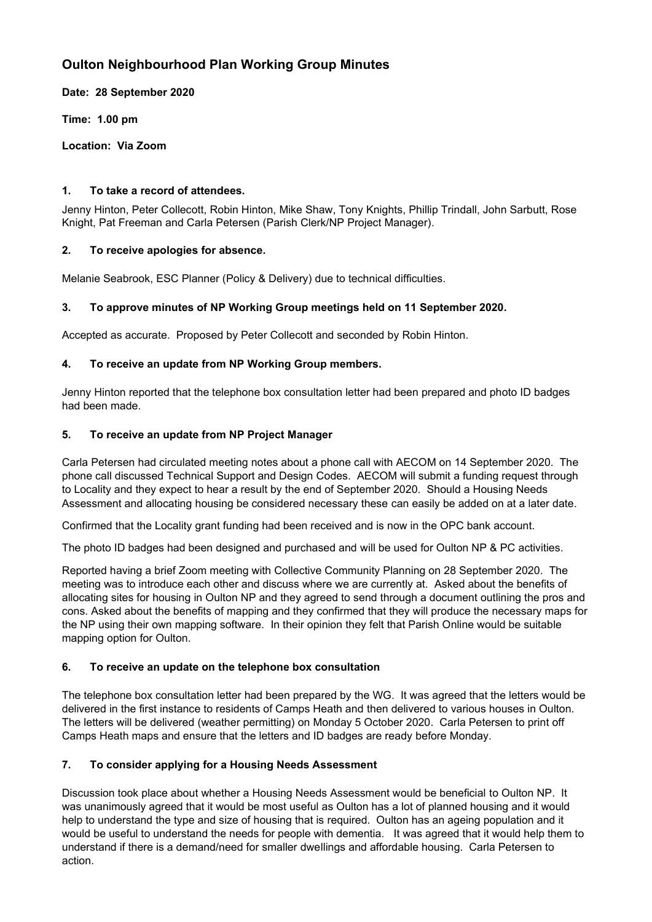# **Oulton Neighbourhood Plan Working Group Minutes**

**Date: 28 September 2020**

**Time: 1.00 pm**

**Location: Via Zoom**

### **1. To take a record of attendees.**

Jenny Hinton, Peter Collecott, Robin Hinton, Mike Shaw, Tony Knights, Phillip Trindall, John Sarbutt, Rose Knight, Pat Freeman and Carla Petersen (Parish Clerk/NP Project Manager).

### **2. To receive apologies for absence.**

Melanie Seabrook, ESC Planner (Policy & Delivery) due to technical difficulties.

# **3. To approve minutes of NP Working Group meetings held on 11 September 2020.**

Accepted as accurate. Proposed by Peter Collecott and seconded by Robin Hinton.

### **4. To receive an update from NP Working Group members.**

Jenny Hinton reported that the telephone box consultation letter had been prepared and photo ID badges had been made.

### **5. To receive an update from NP Project Manager**

Carla Petersen had circulated meeting notes about a phone call with AECOM on 14 September 2020. The phone call discussed Technical Support and Design Codes. AECOM will submit a funding request through to Locality and they expect to hear a result by the end of September 2020. Should a Housing Needs Assessment and allocating housing be considered necessary these can easily be added on at a later date.

Confirmed that the Locality grant funding had been received and is now in the OPC bank account.

The photo ID badges had been designed and purchased and will be used for Oulton NP & PC activities.

Reported having a brief Zoom meeting with Collective Community Planning on 28 September 2020. The meeting was to introduce each other and discuss where we are currently at. Asked about the benefits of allocating sites for housing in Oulton NP and they agreed to send through a document outlining the pros and cons. Asked about the benefits of mapping and they confirmed that they will produce the necessary maps for the NP using their own mapping software. In their opinion they felt that Parish Online would be suitable mapping option for Oulton.

#### **6. To receive an update on the telephone box consultation**

The telephone box consultation letter had been prepared by the WG. It was agreed that the letters would be delivered in the first instance to residents of Camps Heath and then delivered to various houses in Oulton. The letters will be delivered (weather permitting) on Monday 5 October 2020. Carla Petersen to print off Camps Heath maps and ensure that the letters and ID badges are ready before Monday.

# **7. To consider applying for a Housing Needs Assessment**

Discussion took place about whether a Housing Needs Assessment would be beneficial to Oulton NP. It was unanimously agreed that it would be most useful as Oulton has a lot of planned housing and it would help to understand the type and size of housing that is required. Oulton has an ageing population and it would be useful to understand the needs for people with dementia. It was agreed that it would help them to understand if there is a demand/need for smaller dwellings and affordable housing. Carla Petersen to action.